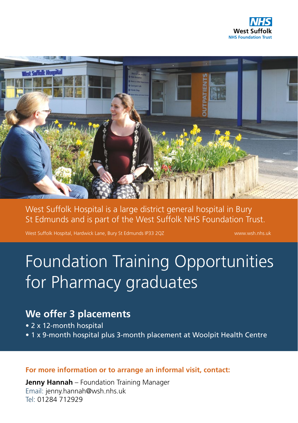



West Suffolk Hospital is a large district general hospital in Bury St Edmunds and is part of the West Suffolk NHS Foundation Trust.

West Suffolk Hospital, Hardwick Lane, Bury St Edmunds IP33 2QZ www.wsh.nhs.uk

# Foundation Training Opportunities for Pharmacy graduates

# **We offer 3 placements**

- 2 x 12-month hospital
- 1 x 9-month hospital plus 3-month placement at Woolpit Health Centre

**For more information or to arrange an informal visit, contact:** 

**Jenny Hannah** – Foundation Training Manager Email: jenny.hannah@wsh.nhs.uk Tel: 01284 712929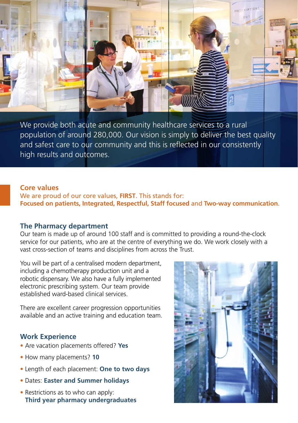

We provide both acute and community healthcare services to a rural population of around 280,000. Our vision is simply to deliver the best quality and safest care to our community and this is reflected in our consistently high results and outcomes.

### **Core values**

We are proud of our core values, **FIRST**. This stands for: **Focused on patients, Integrated, Respectful, Staff focused** and **Two-way communication**.

#### **The Pharmacy department**

Our team is made up of around 100 staff and is committed to providing a round-the-clock service for our patients, who are at the centre of everything we do. We work closely with a vast cross-section of teams and disciplines from across the Trust.

You will be part of a centralised modern department, including a chemotherapy production unit and a robotic dispensary. We also have a fully implemented electronic prescribing system. Our team provide established ward-based clinical services.

There are excellent career progression opportunities available and an active training and education team.

# **Work Experience**

- Are vacation placements offered? **Yes**
- How many placements? **10**
- Length of each placement: **One to two days**
- Dates: **Easter and Summer holidays**
- Restrictions as to who can apply: **Third year pharmacy undergraduates**